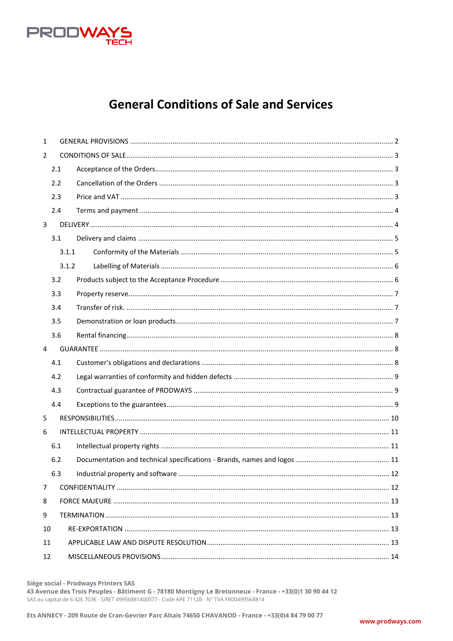

# **General Conditions of Sale and Services**

| $\mathbf{1}$   |       |  |  |
|----------------|-------|--|--|
| $\overline{2}$ |       |  |  |
|                | 2.1   |  |  |
|                | 2.2   |  |  |
|                | 2.3   |  |  |
|                | 2.4   |  |  |
| $\overline{3}$ |       |  |  |
|                | 3.1   |  |  |
|                | 3.1.1 |  |  |
|                | 3.1.2 |  |  |
|                | 3.2   |  |  |
|                | 3.3   |  |  |
|                | 3.4   |  |  |
|                | 3.5   |  |  |
|                | 3.6   |  |  |
|                | 4     |  |  |
|                | 4.1   |  |  |
|                | 4.2   |  |  |
|                | 4.3   |  |  |
|                | 4.4   |  |  |
| 5              |       |  |  |
| 6              |       |  |  |
|                | 6.1   |  |  |
|                | 6.2   |  |  |
|                | 6.3   |  |  |
| 7              |       |  |  |
| 8              |       |  |  |
| 9              |       |  |  |
| 10             |       |  |  |
| 11             |       |  |  |
| 12             |       |  |  |
|                |       |  |  |

Siège social - Prodways Printers SAS

43 Avenue des Trois Peuples - Bâtiment G - 78180 Montigny Le Bretonneux - France - +33(0)1 30 90 44 12 SAS au capital de 6 426 703€ - SIRET 49956881400077 - Code APE 7112B - N° TVA FR00499568814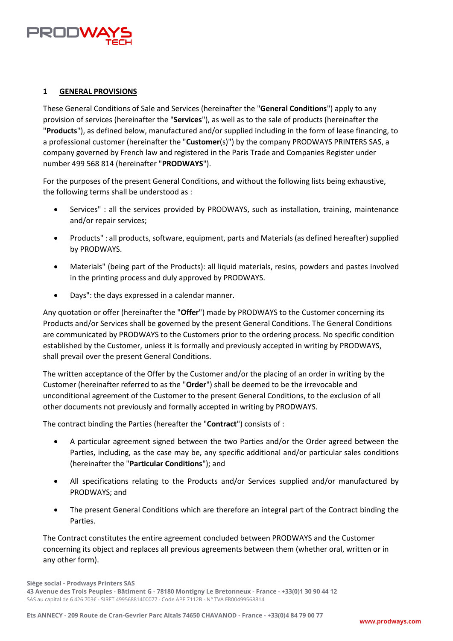

## <span id="page-1-0"></span>**1 GENERAL PROVISIONS**

These General Conditions of Sale and Services (hereinafter the "**General Conditions**") apply to any provision of services (hereinafter the "**Services**"), as well as to the sale of products (hereinafter the "**Products**"), as defined below, manufactured and/or supplied including in the form of lease financing, to a professional customer (hereinafter the "**Customer**(s)") by the company PRODWAYS PRINTERS SAS, a company governed by French law and registered in the Paris Trade and Companies Register under number 499 568 814 (hereinafter "**PRODWAYS**").

For the purposes of the present General Conditions, and without the following lists being exhaustive, the following terms shall be understood as :

- Services" : all the services provided by PRODWAYS, such as installation, training, maintenance and/or repair services;
- Products" : all products, software, equipment, parts and Materials (as defined hereafter) supplied by PRODWAYS.
- Materials" (being part of the Products): all liquid materials, resins, powders and pastes involved in the printing process and duly approved by PRODWAYS.
- Days": the days expressed in a calendar manner.

Any quotation or offer (hereinafter the "**Offer**") made by PRODWAYS to the Customer concerning its Products and/or Services shall be governed by the present General Conditions. The General Conditions are communicated by PRODWAYS to the Customers prior to the ordering process. No specific condition established by the Customer, unless it is formally and previously accepted in writing by PRODWAYS, shall prevail over the present General Conditions.

The written acceptance of the Offer by the Customer and/or the placing of an order in writing by the Customer (hereinafter referred to as the "**Order**") shall be deemed to be the irrevocable and unconditional agreement of the Customer to the present General Conditions, to the exclusion of all other documents not previously and formally accepted in writing by PRODWAYS.

The contract binding the Parties (hereafter the "**Contract**") consists of :

- A particular agreement signed between the two Parties and/or the Order agreed between the Parties, including, as the case may be, any specific additional and/or particular sales conditions (hereinafter the "**Particular Conditions**"); and
- All specifications relating to the Products and/or Services supplied and/or manufactured by PRODWAYS; and
- The present General Conditions which are therefore an integral part of the Contract binding the Parties.

The Contract constitutes the entire agreement concluded between PRODWAYS and the Customer concerning its object and replaces all previous agreements between them (whether oral, written or in any other form).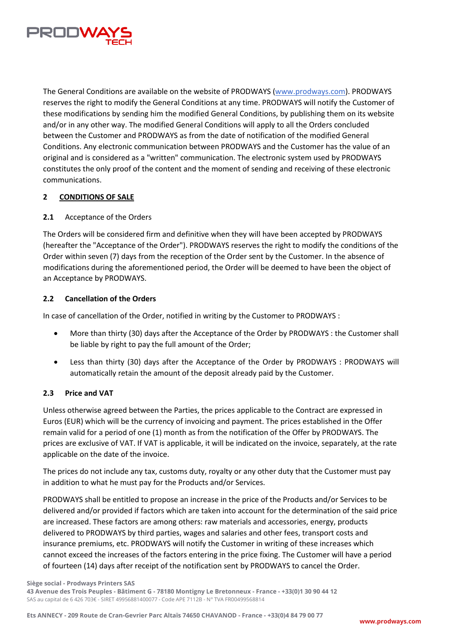

The General Conditions are available on the website of PRODWAYS (www.prodways.com). PRODWAYS reserves the right to modify the General Conditions at any time. PRODWAYS will notify the Customer of these modifications by sending him the modified General Conditions, by publishing them on its website and/or in any other way. The modified General Conditions will apply to all the Orders concluded between the Customer and PRODWAYS as from the date of notification of the modified General Conditions. Any electronic communication between PRODWAYS and the Customer has the value of an original and is considered as a "written" communication. The electronic system used by PRODWAYS constitutes the only proof of the content and the moment of sending and receiving of these electronic communications.

#### <span id="page-2-0"></span>**2 CONDITIONS OF SALE**

## <span id="page-2-1"></span>**2.1** Acceptance of the Orders

The Orders will be considered firm and definitive when they will have been accepted by PRODWAYS (hereafter the "Acceptance of the Order"). PRODWAYS reserves the right to modify the conditions of the Order within seven (7) days from the reception of the Order sent by the Customer. In the absence of modifications during the aforementioned period, the Order will be deemed to have been the object of an Acceptance by PRODWAYS.

## <span id="page-2-2"></span>**2.2 Cancellation of the Orders**

In case of cancellation of the Order, notified in writing by the Customer to PRODWAYS :

- More than thirty (30) days after the Acceptance of the Order by PRODWAYS : the Customer shall be liable by right to pay the full amount of the Order;
- Less than thirty (30) days after the Acceptance of the Order by PRODWAYS : PRODWAYS will automatically retain the amount of the deposit already paid by the Customer.

# <span id="page-2-3"></span>**2.3 Price and VAT**

Unless otherwise agreed between the Parties, the prices applicable to the Contract are expressed in Euros (EUR) which will be the currency of invoicing and payment. The prices established in the Offer remain valid for a period of one (1) month as from the notification of the Offer by PRODWAYS. The prices are exclusive of VAT. If VAT is applicable, it will be indicated on the invoice, separately, at the rate applicable on the date of the invoice.

The prices do not include any tax, customs duty, royalty or any other duty that the Customer must pay in addition to what he must pay for the Products and/or Services.

PRODWAYS shall be entitled to propose an increase in the price of the Products and/or Services to be delivered and/or provided if factors which are taken into account for the determination of the said price are increased. These factors are among others: raw materials and accessories, energy, products delivered to PRODWAYS by third parties, wages and salaries and other fees, transport costs and insurance premiums, etc. PRODWAYS will notify the Customer in writing of these increases which cannot exceed the increases of the factors entering in the price fixing. The Customer will have a period of fourteen (14) days after receipt of the notification sent by PRODWAYS to cancel the Order.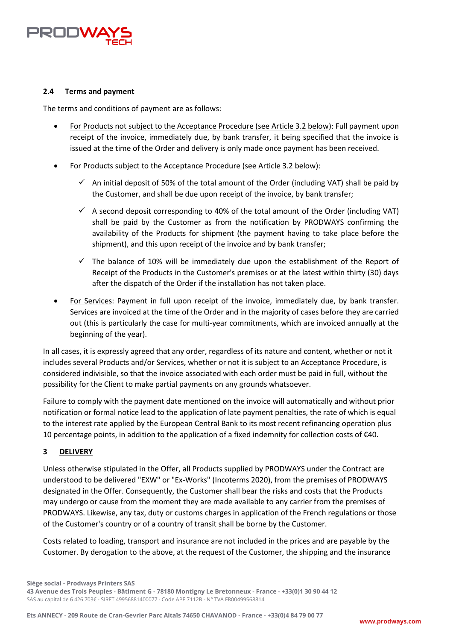

## <span id="page-3-0"></span>**2.4 Terms and payment**

The terms and conditions of payment are as follows:

- For Products not subject to the Acceptance Procedure (see Article 3.2 below): Full payment upon receipt of the invoice, immediately due, by bank transfer, it being specified that the invoice is issued at the time of the Order and delivery is only made once payment has been received.
- For Products subject to the Acceptance Procedure (see Article 3.2 below):
	- $\checkmark$  An initial deposit of 50% of the total amount of the Order (including VAT) shall be paid by the Customer, and shall be due upon receipt of the invoice, by bank transfer;
	- $\checkmark$  A second deposit corresponding to 40% of the total amount of the Order (including VAT) shall be paid by the Customer as from the notification by PRODWAYS confirming the availability of the Products for shipment (the payment having to take place before the shipment), and this upon receipt of the invoice and by bank transfer;
	- $\checkmark$  The balance of 10% will be immediately due upon the establishment of the Report of Receipt of the Products in the Customer's premises or at the latest within thirty (30) days after the dispatch of the Order if the installation has not taken place.
- For Services: Payment in full upon receipt of the invoice, immediately due, by bank transfer. Services are invoiced at the time of the Order and in the majority of cases before they are carried out (this is particularly the case for multi-year commitments, which are invoiced annually at the beginning of the year).

In all cases, it is expressly agreed that any order, regardless of its nature and content, whether or not it includes several Products and/or Services, whether or not it is subject to an Acceptance Procedure, is considered indivisible, so that the invoice associated with each order must be paid in full, without the possibility for the Client to make partial payments on any grounds whatsoever.

Failure to comply with the payment date mentioned on the invoice will automatically and without prior notification or formal notice lead to the application of late payment penalties, the rate of which is equal to the interest rate applied by the European Central Bank to its most recent refinancing operation plus 10 percentage points, in addition to the application of a fixed indemnity for collection costs of €40.

# <span id="page-3-1"></span>**3 DELIVERY**

Unless otherwise stipulated in the Offer, all Products supplied by PRODWAYS under the Contract are understood to be delivered "EXW" or "Ex-Works" (Incoterms 2020), from the premises of PRODWAYS designated in the Offer. Consequently, the Customer shall bear the risks and costs that the Products may undergo or cause from the moment they are made available to any carrier from the premises of PRODWAYS. Likewise, any tax, duty or customs charges in application of the French regulations or those of the Customer's country or of a country of transit shall be borne by the Customer.

Costs related to loading, transport and insurance are not included in the prices and are payable by the Customer. By derogation to the above, at the request of the Customer, the shipping and the insurance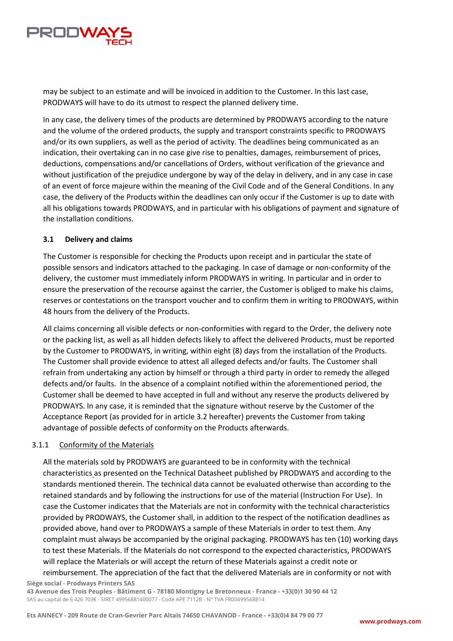

may be subject to an estimate and will be invoiced in addition to the Customer. In this last case, PRODWAYS will have to do its utmost to respect the planned delivery time.

In any case, the delivery times of the products are determined by PRODWAYS according to the nature and the volume of the ordered products, the supply and transport constraints specific to PRODWAYS and/or its own suppliers, as well as the period of activity. The deadlines being communicated as an indication, their overtaking can in no case give rise to penalties, damages, reimbursement of prices, deductions, compensations and/or cancellations of Orders, without verification of the grievance and without justification of the prejudice undergone by way of the delay in delivery, and in any case in case of an event of force majeure within the meaning of the Civil Code and of the General Conditions. In any case, the delivery of the Products within the deadlines can only occur if the Customer is up to date with all his obligations towards PRODWAYS, and in particular with his obligations of payment and signature of the installation conditions.

## <span id="page-4-0"></span>**3.1 Delivery and claims**

The Customer is responsible for checking the Products upon receipt and in particular the state of possible sensors and indicators attached to the packaging. In case of damage or non-conformity of the delivery, the customer must immediately inform PRODWAYS in writing. In particular and in order to ensure the preservation of the recourse against the carrier, the Customer is obliged to make his claims, reserves or contestations on the transport voucher and to confirm them in writing to PRODWAYS, within 48 hours from the delivery of the Products.

All claims concerning all visible defects or non-conformities with regard to the Order, the delivery note or the packing list, as well as all hidden defects likely to affect the delivered Products, must be reported by the Customer to PRODWAYS, in writing, within eight (8) days from the installation of the Products. The Customer shall provide evidence to attest all alleged defects and/or faults. The Customer shall refrain from undertaking any action by himself or through a third party in order to remedy the alleged defects and/or faults. In the absence of a complaint notified within the aforementioned period, the Customer shall be deemed to have accepted in full and without any reserve the products delivered by PRODWAYS. In any case, it is reminded that the signature without reserve by the Customer of the Acceptance Report (as provided for in article 3.2 hereafter) prevents the Customer from taking advantage of possible defects of conformity on the Products afterwards.

#### <span id="page-4-1"></span>3.1.1 Conformity of the Materials

All the materials sold by PRODWAYS are guaranteed to be in conformity with the technical characteristics as presented on the Technical Datasheet published by PRODWAYS and according to the standards mentioned therein. The technical data cannot be evaluated otherwise than according to the retained standards and by following the instructions for use of the material (Instruction For Use). In case the Customer indicates that the Materials are not in conformity with the technical characteristics provided by PRODWAYS, the Customer shall, in addition to the respect of the notification deadlines as provided above, hand over to PRODWAYS a sample of these Materials in order to test them. Any complaint must always be accompanied by the original packaging. PRODWAYS has ten (10) working days to test these Materials. If the Materials do not correspond to the expected characteristics, PRODWAYS will replace the Materials or will accept the return of these Materials against a credit note or reimbursement. The appreciation of the fact that the delivered Materials are in conformity or not with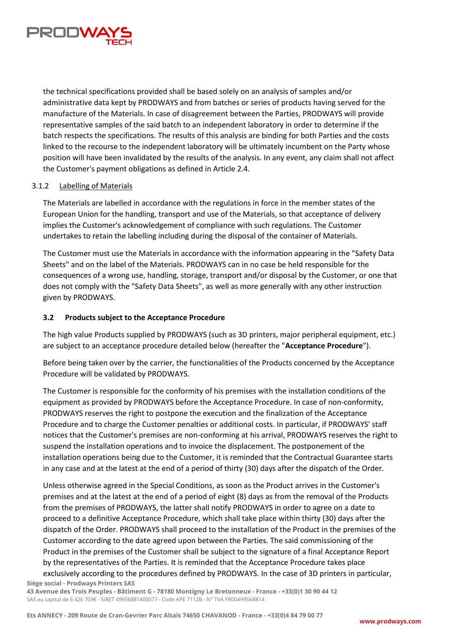

the technical specifications provided shall be based solely on an analysis of samples and/or administrative data kept by PRODWAYS and from batches or series of products having served for the manufacture of the Materials. In case of disagreement between the Parties, PRODWAYS will provide representative samples of the said batch to an independent laboratory in order to determine if the batch respects the specifications. The results of this analysis are binding for both Parties and the costs linked to the recourse to the independent laboratory will be ultimately incumbent on the Party whose position will have been invalidated by the results of the analysis. In any event, any claim shall not affect the Customer's payment obligations as defined in Article 2.4.

#### <span id="page-5-0"></span>3.1.2 Labelling of Materials

The Materials are labelled in accordance with the regulations in force in the member states of the European Union for the handling, transport and use of the Materials, so that acceptance of delivery implies the Customer's acknowledgement of compliance with such regulations. The Customer undertakes to retain the labelling including during the disposal of the container of Materials.

The Customer must use the Materials in accordance with the information appearing in the "Safety Data Sheets" and on the label of the Materials. PRODWAYS can in no case be held responsible for the consequences of a wrong use, handling, storage, transport and/or disposal by the Customer, or one that does not comply with the "Safety Data Sheets", as well as more generally with any other instruction given by PRODWAYS.

# <span id="page-5-1"></span>**3.2 Products subject to the Acceptance Procedure**

The high value Products supplied by PRODWAYS (such as 3D printers, major peripheral equipment, etc.) are subject to an acceptance procedure detailed below (hereafter the "**Acceptance Procedure**").

Before being taken over by the carrier, the functionalities of the Products concerned by the Acceptance Procedure will be validated by PRODWAYS.

The Customer is responsible for the conformity of his premises with the installation conditions of the equipment as provided by PRODWAYS before the Acceptance Procedure. In case of non-conformity, PRODWAYS reserves the right to postpone the execution and the finalization of the Acceptance Procedure and to charge the Customer penalties or additional costs. In particular, if PRODWAYS' staff notices that the Customer's premises are non-conforming at his arrival, PRODWAYS reserves the right to suspend the installation operations and to invoice the displacement. The postponement of the installation operations being due to the Customer, it is reminded that the Contractual Guarantee starts in any case and at the latest at the end of a period of thirty (30) days after the dispatch of the Order.

**Siège social - Prodways Printers SAS**  Unless otherwise agreed in the Special Conditions, as soon as the Product arrives in the Customer's premises and at the latest at the end of a period of eight (8) days as from the removal of the Products from the premises of PRODWAYS, the latter shall notify PRODWAYS in order to agree on a date to proceed to a definitive Acceptance Procedure, which shall take place within thirty (30) days after the dispatch of the Order. PRODWAYS shall proceed to the installation of the Product in the premises of the Customer according to the date agreed upon between the Parties. The said commissioning of the Product in the premises of the Customer shall be subject to the signature of a final Acceptance Report by the representatives of the Parties. It is reminded that the Acceptance Procedure takes place exclusively according to the procedures defined by PRODWAYS. In the case of 3D printers in particular,

**43 Avenue des Trois Peuples - Bâtiment G - 78180 Montigny Le Bretonneux - France - +33(0)1 30 90 44 12**  SAS au capital de 6 426 703€ - SIRET 49956881400077 - Code APE 7112B - N° TVA FR00499568814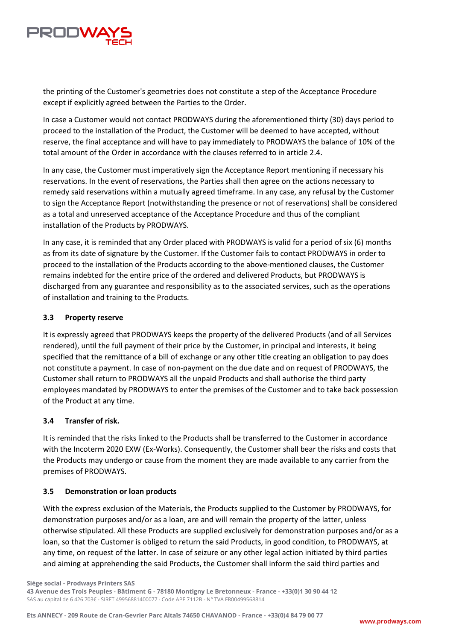

the printing of the Customer's geometries does not constitute a step of the Acceptance Procedure except if explicitly agreed between the Parties to the Order.

In case a Customer would not contact PRODWAYS during the aforementioned thirty (30) days period to proceed to the installation of the Product, the Customer will be deemed to have accepted, without reserve, the final acceptance and will have to pay immediately to PRODWAYS the balance of 10% of the total amount of the Order in accordance with the clauses referred to in article 2.4.

In any case, the Customer must imperatively sign the Acceptance Report mentioning if necessary his reservations. In the event of reservations, the Parties shall then agree on the actions necessary to remedy said reservations within a mutually agreed timeframe. In any case, any refusal by the Customer to sign the Acceptance Report (notwithstanding the presence or not of reservations) shall be considered as a total and unreserved acceptance of the Acceptance Procedure and thus of the compliant installation of the Products by PRODWAYS.

In any case, it is reminded that any Order placed with PRODWAYS is valid for a period of six (6) months as from its date of signature by the Customer. If the Customer fails to contact PRODWAYS in order to proceed to the installation of the Products according to the above-mentioned clauses, the Customer remains indebted for the entire price of the ordered and delivered Products, but PRODWAYS is discharged from any guarantee and responsibility as to the associated services, such as the operations of installation and training to the Products.

## <span id="page-6-0"></span>**3.3 Property reserve**

It is expressly agreed that PRODWAYS keeps the property of the delivered Products (and of all Services rendered), until the full payment of their price by the Customer, in principal and interests, it being specified that the remittance of a bill of exchange or any other title creating an obligation to pay does not constitute a payment. In case of non-payment on the due date and on request of PRODWAYS, the Customer shall return to PRODWAYS all the unpaid Products and shall authorise the third party employees mandated by PRODWAYS to enter the premises of the Customer and to take back possession of the Product at any time.

#### <span id="page-6-1"></span>**3.4 Transfer of risk.**

It is reminded that the risks linked to the Products shall be transferred to the Customer in accordance with the Incoterm 2020 EXW (Ex-Works). Consequently, the Customer shall bear the risks and costs that the Products may undergo or cause from the moment they are made available to any carrier from the premises of PRODWAYS.

#### <span id="page-6-2"></span>**3.5 Demonstration or loan products**

With the express exclusion of the Materials, the Products supplied to the Customer by PRODWAYS, for demonstration purposes and/or as a loan, are and will remain the property of the latter, unless otherwise stipulated. All these Products are supplied exclusively for demonstration purposes and/or as a loan, so that the Customer is obliged to return the said Products, in good condition, to PRODWAYS, at any time, on request of the latter. In case of seizure or any other legal action initiated by third parties and aiming at apprehending the said Products, the Customer shall inform the said third parties and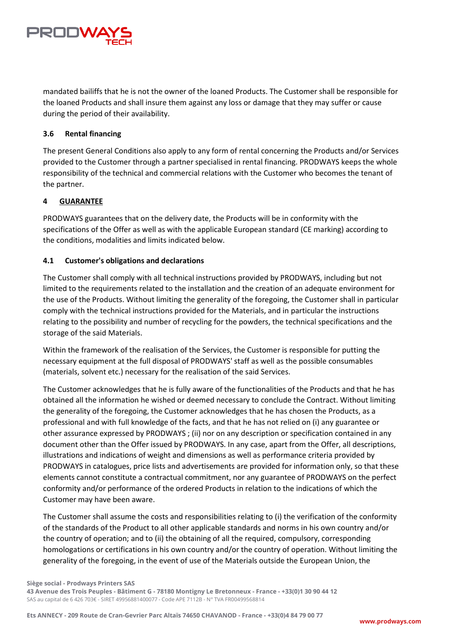

mandated bailiffs that he is not the owner of the loaned Products. The Customer shall be responsible for the loaned Products and shall insure them against any loss or damage that they may suffer or cause during the period of their availability.

# <span id="page-7-0"></span>**3.6 Rental financing**

The present General Conditions also apply to any form of rental concerning the Products and/or Services provided to the Customer through a partner specialised in rental financing. PRODWAYS keeps the whole responsibility of the technical and commercial relations with the Customer who becomes the tenant of the partner.

## <span id="page-7-1"></span>**4 GUARANTEE**

PRODWAYS guarantees that on the delivery date, the Products will be in conformity with the specifications of the Offer as well as with the applicable European standard (CE marking) according to the conditions, modalities and limits indicated below.

## <span id="page-7-2"></span>**4.1 Customer's obligations and declarations**

The Customer shall comply with all technical instructions provided by PRODWAYS, including but not limited to the requirements related to the installation and the creation of an adequate environment for the use of the Products. Without limiting the generality of the foregoing, the Customer shall in particular comply with the technical instructions provided for the Materials, and in particular the instructions relating to the possibility and number of recycling for the powders, the technical specifications and the storage of the said Materials.

Within the framework of the realisation of the Services, the Customer is responsible for putting the necessary equipment at the full disposal of PRODWAYS' staff as well as the possible consumables (materials, solvent etc.) necessary for the realisation of the said Services.

The Customer acknowledges that he is fully aware of the functionalities of the Products and that he has obtained all the information he wished or deemed necessary to conclude the Contract. Without limiting the generality of the foregoing, the Customer acknowledges that he has chosen the Products, as a professional and with full knowledge of the facts, and that he has not relied on (i) any guarantee or other assurance expressed by PRODWAYS ; (ii) nor on any description or specification contained in any document other than the Offer issued by PRODWAYS. In any case, apart from the Offer, all descriptions, illustrations and indications of weight and dimensions as well as performance criteria provided by PRODWAYS in catalogues, price lists and advertisements are provided for information only, so that these elements cannot constitute a contractual commitment, nor any guarantee of PRODWAYS on the perfect conformity and/or performance of the ordered Products in relation to the indications of which the Customer may have been aware.

The Customer shall assume the costs and responsibilities relating to (i) the verification of the conformity of the standards of the Product to all other applicable standards and norms in his own country and/or the country of operation; and to (ii) the obtaining of all the required, compulsory, corresponding homologations or certifications in his own country and/or the country of operation. Without limiting the generality of the foregoing, in the event of use of the Materials outside the European Union, the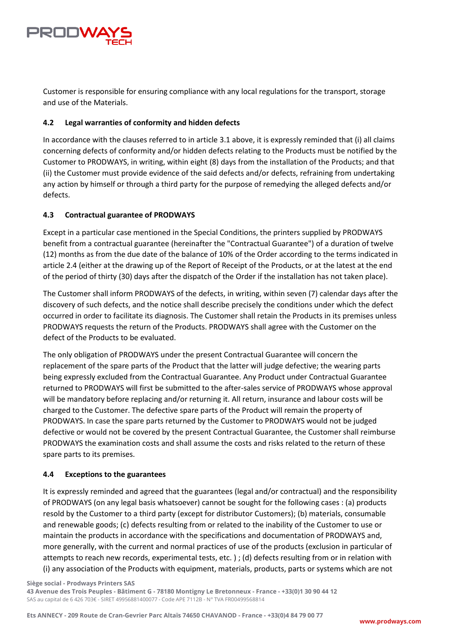

Customer is responsible for ensuring compliance with any local regulations for the transport, storage and use of the Materials.

# <span id="page-8-0"></span>**4.2 Legal warranties of conformity and hidden defects**

In accordance with the clauses referred to in article 3.1 above, it is expressly reminded that (i) all claims concerning defects of conformity and/or hidden defects relating to the Products must be notified by the Customer to PRODWAYS, in writing, within eight (8) days from the installation of the Products; and that (ii) the Customer must provide evidence of the said defects and/or defects, refraining from undertaking any action by himself or through a third party for the purpose of remedying the alleged defects and/or defects.

# <span id="page-8-1"></span>**4.3 Contractual guarantee of PRODWAYS**

Except in a particular case mentioned in the Special Conditions, the printers supplied by PRODWAYS benefit from a contractual guarantee (hereinafter the "Contractual Guarantee") of a duration of twelve (12) months as from the due date of the balance of 10% of the Order according to the terms indicated in article 2.4 (either at the drawing up of the Report of Receipt of the Products, or at the latest at the end of the period of thirty (30) days after the dispatch of the Order if the installation has not taken place).

The Customer shall inform PRODWAYS of the defects, in writing, within seven (7) calendar days after the discovery of such defects, and the notice shall describe precisely the conditions under which the defect occurred in order to facilitate its diagnosis. The Customer shall retain the Products in its premises unless PRODWAYS requests the return of the Products. PRODWAYS shall agree with the Customer on the defect of the Products to be evaluated.

The only obligation of PRODWAYS under the present Contractual Guarantee will concern the replacement of the spare parts of the Product that the latter will judge defective; the wearing parts being expressly excluded from the Contractual Guarantee. Any Product under Contractual Guarantee returned to PRODWAYS will first be submitted to the after-sales service of PRODWAYS whose approval will be mandatory before replacing and/or returning it. All return, insurance and labour costs will be charged to the Customer. The defective spare parts of the Product will remain the property of PRODWAYS. In case the spare parts returned by the Customer to PRODWAYS would not be judged defective or would not be covered by the present Contractual Guarantee, the Customer shall reimburse PRODWAYS the examination costs and shall assume the costs and risks related to the return of these spare parts to its premises.

# <span id="page-8-2"></span>**4.4 Exceptions to the guarantees**

It is expressly reminded and agreed that the guarantees (legal and/or contractual) and the responsibility of PRODWAYS (on any legal basis whatsoever) cannot be sought for the following cases : (a) products resold by the Customer to a third party (except for distributor Customers); (b) materials, consumable and renewable goods; (c) defects resulting from or related to the inability of the Customer to use or maintain the products in accordance with the specifications and documentation of PRODWAYS and, more generally, with the current and normal practices of use of the products (exclusion in particular of attempts to reach new records, experimental tests, etc. ) ; (d) defects resulting from or in relation with (i) any association of the Products with equipment, materials, products, parts or systems which are not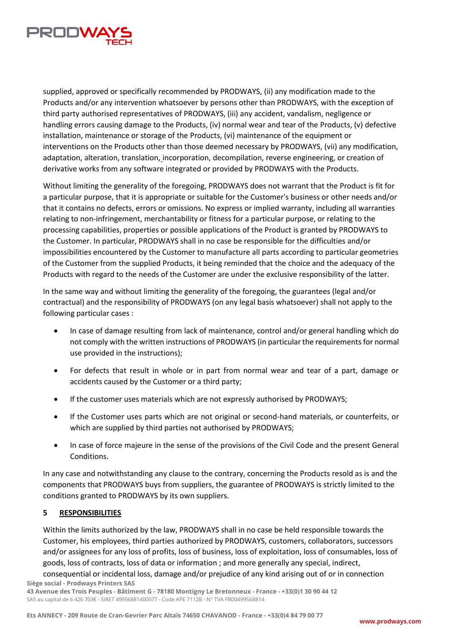

supplied, approved or specifically recommended by PRODWAYS, (ii) any modification made to the Products and/or any intervention whatsoever by persons other than PRODWAYS, with the exception of third party authorised representatives of PRODWAYS, (iii) any accident, vandalism, negligence or handling errors causing damage to the Products, (iv) normal wear and tear of the Products, (v) defective installation, maintenance or storage of the Products, (vi) maintenance of the equipment or interventions on the Products other than those deemed necessary by PRODWAYS, (vii) any modification, adaptation, alteration, translation, incorporation, decompilation, reverse engineering, or creation of derivative works from any software integrated or provided by PRODWAYS with the Products.

Without limiting the generality of the foregoing, PRODWAYS does not warrant that the Product is fit for a particular purpose, that it is appropriate or suitable for the Customer's business or other needs and/or that it contains no defects, errors or omissions. No express or implied warranty, including all warranties relating to non-infringement, merchantability or fitness for a particular purpose, or relating to the processing capabilities, properties or possible applications of the Product is granted by PRODWAYS to the Customer. In particular, PRODWAYS shall in no case be responsible for the difficulties and/or impossibilities encountered by the Customer to manufacture all parts according to particular geometries of the Customer from the supplied Products, it being reminded that the choice and the adequacy of the Products with regard to the needs of the Customer are under the exclusive responsibility of the latter.

In the same way and without limiting the generality of the foregoing, the guarantees (legal and/or contractual) and the responsibility of PRODWAYS (on any legal basis whatsoever) shall not apply to the following particular cases :

- In case of damage resulting from lack of maintenance, control and/or general handling which do not comply with the written instructions of PRODWAYS (in particular the requirements for normal use provided in the instructions);
- For defects that result in whole or in part from normal wear and tear of a part, damage or accidents caused by the Customer or a third party;
- If the customer uses materials which are not expressly authorised by PRODWAYS;
- If the Customer uses parts which are not original or second-hand materials, or counterfeits, or which are supplied by third parties not authorised by PRODWAYS;
- In case of force majeure in the sense of the provisions of the Civil Code and the present General Conditions.

In any case and notwithstanding any clause to the contrary, concerning the Products resold as is and the components that PRODWAYS buys from suppliers, the guarantee of PRODWAYS is strictly limited to the conditions granted to PRODWAYS by its own suppliers.

# <span id="page-9-0"></span>**5 RESPONSIBILITIES**

Within the limits authorized by the law, PRODWAYS shall in no case be held responsible towards the Customer, his employees, third parties authorized by PRODWAYS, customers, collaborators, successors and/or assignees for any loss of profits, loss of business, loss of exploitation, loss of consumables, loss of goods, loss of contracts, loss of data or information ; and more generally any special, indirect,

**Siège social - Prodways Printers SAS**  consequential or incidental loss, damage and/or prejudice of any kind arising out of or in connection

**43 Avenue des Trois Peuples - Bâtiment G - 78180 Montigny Le Bretonneux - France - +33(0)1 30 90 44 12**  SAS au capital de 6 426 703€ - SIRET 49956881400077 - Code APE 7112B - N° TVA FR00499568814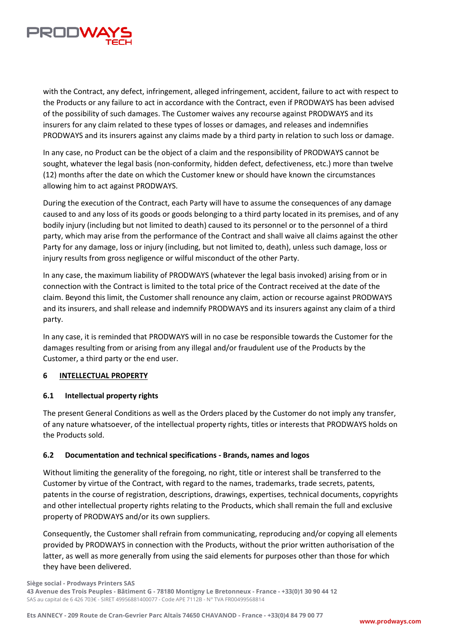

with the Contract, any defect, infringement, alleged infringement, accident, failure to act with respect to the Products or any failure to act in accordance with the Contract, even if PRODWAYS has been advised of the possibility of such damages. The Customer waives any recourse against PRODWAYS and its insurers for any claim related to these types of losses or damages, and releases and indemnifies PRODWAYS and its insurers against any claims made by a third party in relation to such loss or damage.

In any case, no Product can be the object of a claim and the responsibility of PRODWAYS cannot be sought, whatever the legal basis (non-conformity, hidden defect, defectiveness, etc.) more than twelve (12) months after the date on which the Customer knew or should have known the circumstances allowing him to act against PRODWAYS.

During the execution of the Contract, each Party will have to assume the consequences of any damage caused to and any loss of its goods or goods belonging to a third party located in its premises, and of any bodily injury (including but not limited to death) caused to its personnel or to the personnel of a third party, which may arise from the performance of the Contract and shall waive all claims against the other Party for any damage, loss or injury (including, but not limited to, death), unless such damage, loss or injury results from gross negligence or wilful misconduct of the other Party.

In any case, the maximum liability of PRODWAYS (whatever the legal basis invoked) arising from or in connection with the Contract is limited to the total price of the Contract received at the date of the claim. Beyond this limit, the Customer shall renounce any claim, action or recourse against PRODWAYS and its insurers, and shall release and indemnify PRODWAYS and its insurers against any claim of a third party.

In any case, it is reminded that PRODWAYS will in no case be responsible towards the Customer for the damages resulting from or arising from any illegal and/or fraudulent use of the Products by the Customer, a third party or the end user.

#### <span id="page-10-0"></span>**6 INTELLECTUAL PROPERTY**

#### <span id="page-10-1"></span>**6.1 Intellectual property rights**

The present General Conditions as well as the Orders placed by the Customer do not imply any transfer, of any nature whatsoever, of the intellectual property rights, titles or interests that PRODWAYS holds on the Products sold.

# <span id="page-10-2"></span>**6.2 Documentation and technical specifications - Brands, names and logos**

Without limiting the generality of the foregoing, no right, title or interest shall be transferred to the Customer by virtue of the Contract, with regard to the names, trademarks, trade secrets, patents, patents in the course of registration, descriptions, drawings, expertises, technical documents, copyrights and other intellectual property rights relating to the Products, which shall remain the full and exclusive property of PRODWAYS and/or its own suppliers.

Consequently, the Customer shall refrain from communicating, reproducing and/or copying all elements provided by PRODWAYS in connection with the Products, without the prior written authorisation of the latter, as well as more generally from using the said elements for purposes other than those for which they have been delivered.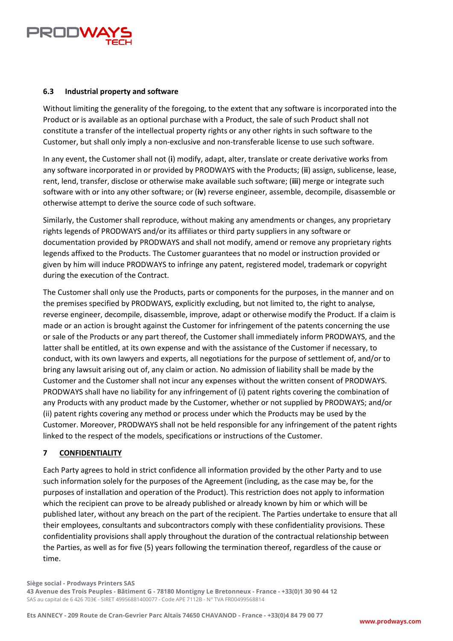

## <span id="page-11-0"></span>**6.3 Industrial property and software**

Without limiting the generality of the foregoing, to the extent that any software is incorporated into the Product or is available as an optional purchase with a Product, the sale of such Product shall not constitute a transfer of the intellectual property rights or any other rights in such software to the Customer, but shall only imply a non-exclusive and non-transferable license to use such software.

In any event, the Customer shall not (**i**) modify, adapt, alter, translate or create derivative works from any software incorporated in or provided by PRODWAYS with the Products; (**ii**) assign, sublicense, lease, rent, lend, transfer, disclose or otherwise make available such software; (**iii**) merge or integrate such software with or into any other software; or (**iv**) reverse engineer, assemble, decompile, disassemble or otherwise attempt to derive the source code of such software.

Similarly, the Customer shall reproduce, without making any amendments or changes, any proprietary rights legends of PRODWAYS and/or its affiliates or third party suppliers in any software or documentation provided by PRODWAYS and shall not modify, amend or remove any proprietary rights legends affixed to the Products. The Customer guarantees that no model or instruction provided or given by him will induce PRODWAYS to infringe any patent, registered model, trademark or copyright during the execution of the Contract.

The Customer shall only use the Products, parts or components for the purposes, in the manner and on the premises specified by PRODWAYS, explicitly excluding, but not limited to, the right to analyse, reverse engineer, decompile, disassemble, improve, adapt or otherwise modify the Product. If a claim is made or an action is brought against the Customer for infringement of the patents concerning the use or sale of the Products or any part thereof, the Customer shall immediately inform PRODWAYS, and the latter shall be entitled, at its own expense and with the assistance of the Customer if necessary, to conduct, with its own lawyers and experts, all negotiations for the purpose of settlement of, and/or to bring any lawsuit arising out of, any claim or action. No admission of liability shall be made by the Customer and the Customer shall not incur any expenses without the written consent of PRODWAYS. PRODWAYS shall have no liability for any infringement of (i) patent rights covering the combination of any Products with any product made by the Customer, whether or not supplied by PRODWAYS; and/or (ii) patent rights covering any method or process under which the Products may be used by the Customer. Moreover, PRODWAYS shall not be held responsible for any infringement of the patent rights linked to the respect of the models, specifications or instructions of the Customer.

#### <span id="page-11-1"></span>**7 CONFIDENTIALITY**

Each Party agrees to hold in strict confidence all information provided by the other Party and to use such information solely for the purposes of the Agreement (including, as the case may be, for the purposes of installation and operation of the Product). This restriction does not apply to information which the recipient can prove to be already published or already known by him or which will be published later, without any breach on the part of the recipient. The Parties undertake to ensure that all their employees, consultants and subcontractors comply with these confidentiality provisions. These confidentiality provisions shall apply throughout the duration of the contractual relationship between the Parties, as well as for five (5) years following the termination thereof, regardless of the cause or time.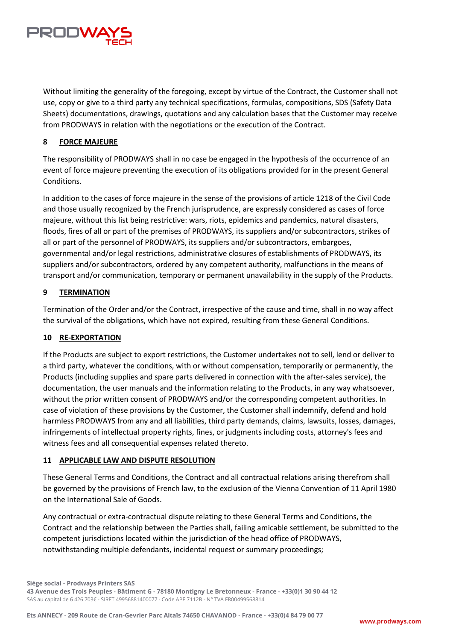

Without limiting the generality of the foregoing, except by virtue of the Contract, the Customer shall not use, copy or give to a third party any technical specifications, formulas, compositions, SDS (Safety Data Sheets) documentations, drawings, quotations and any calculation bases that the Customer may receive from PRODWAYS in relation with the negotiations or the execution of the Contract.

## <span id="page-12-0"></span>**8 FORCE MAJEURE**

The responsibility of PRODWAYS shall in no case be engaged in the hypothesis of the occurrence of an event of force majeure preventing the execution of its obligations provided for in the present General Conditions.

In addition to the cases of force majeure in the sense of the provisions of article 1218 of the Civil Code and those usually recognized by the French jurisprudence, are expressly considered as cases of force majeure, without this list being restrictive: wars, riots, epidemics and pandemics, natural disasters, floods, fires of all or part of the premises of PRODWAYS, its suppliers and/or subcontractors, strikes of all or part of the personnel of PRODWAYS, its suppliers and/or subcontractors, embargoes, governmental and/or legal restrictions, administrative closures of establishments of PRODWAYS, its suppliers and/or subcontractors, ordered by any competent authority, malfunctions in the means of transport and/or communication, temporary or permanent unavailability in the supply of the Products.

#### <span id="page-12-1"></span>**9 TERMINATION**

Termination of the Order and/or the Contract, irrespective of the cause and time, shall in no way affect the survival of the obligations, which have not expired, resulting from these General Conditions.

#### <span id="page-12-2"></span>**10 RE-EXPORTATION**

If the Products are subject to export restrictions, the Customer undertakes not to sell, lend or deliver to a third party, whatever the conditions, with or without compensation, temporarily or permanently, the Products (including supplies and spare parts delivered in connection with the after-sales service), the documentation, the user manuals and the information relating to the Products, in any way whatsoever, without the prior written consent of PRODWAYS and/or the corresponding competent authorities. In case of violation of these provisions by the Customer, the Customer shall indemnify, defend and hold harmless PRODWAYS from any and all liabilities, third party demands, claims, lawsuits, losses, damages, infringements of intellectual property rights, fines, or judgments including costs, attorney's fees and witness fees and all consequential expenses related thereto.

#### <span id="page-12-3"></span>**11 APPLICABLE LAW AND DISPUTE RESOLUTION**

These General Terms and Conditions, the Contract and all contractual relations arising therefrom shall be governed by the provisions of French law, to the exclusion of the Vienna Convention of 11 April 1980 on the International Sale of Goods.

Any contractual or extra-contractual dispute relating to these General Terms and Conditions, the Contract and the relationship between the Parties shall, failing amicable settlement, be submitted to the competent jurisdictions located within the jurisdiction of the head office of PRODWAYS, notwithstanding multiple defendants, incidental request or summary proceedings;